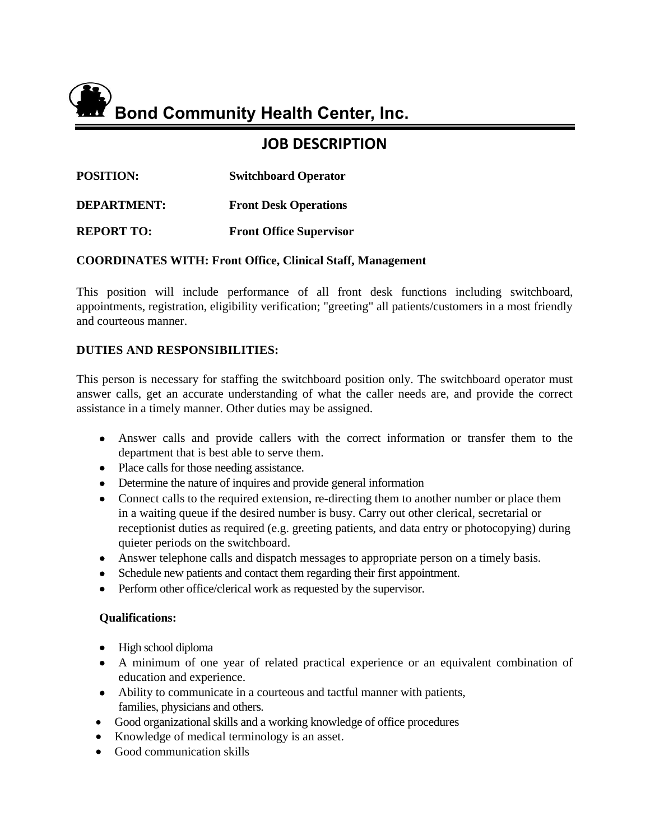

# **JOB DESCRIPTION**

| <b>POSITION:</b> | <b>Switchboard Operator</b> |
|------------------|-----------------------------|
|------------------|-----------------------------|

**DEPARTMENT: Front Desk Operations**

**REPORT TO: Front Office Supervisor** 

## **COORDINATES WITH: Front Office, Clinical Staff, Management**

This position will include performance of all front desk functions including switchboard, appointments, registration, eligibility verification; "greeting" all patients/customers in a most friendly and courteous manner.

# **DUTIES AND RESPONSIBILITIES:**

This person is necessary for staffing the switchboard position only. The switchboard operator must answer calls, get an accurate understanding of what the caller needs are, and provide the correct assistance in a timely manner. Other duties may be assigned.

- Answer calls and provide callers with the correct information or transfer them to the department that is best able to serve them.
- Place calls for those needing assistance.
- Determine the nature of inquires and provide general information
- Connect calls to the required extension, re-directing them to another number or place them in a waiting queue if the desired number is busy. Carry out other clerical, secretarial or receptionist duties as required (e.g. greeting patients, and data entry or photocopying) during quieter periods on the switchboard.
- Answer telephone calls and dispatch messages to appropriate person on a timely basis.
- Schedule new patients and contact them regarding their first appointment.
- Perform other office/clerical work as requested by the supervisor.

### **Qualifications:**

- High school diploma
- A minimum of one year of related practical experience or an equivalent combination of education and experience.
- Ability to communicate in a courteous and tactful manner with patients, families, physicians and others.
- Good organizational skills and a working knowledge of office procedures
- Knowledge of medical terminology is an asset.
- Good communication skills